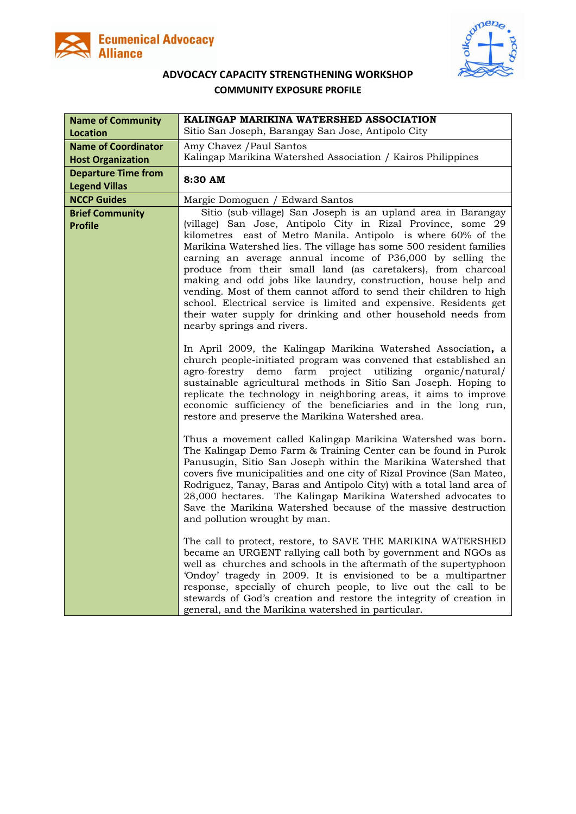



## **ADVOCACY CAPACITY STRENGTHENING WORKSHOP COMMUNITY EXPOSURE PROFILE**

| <b>Name of Community</b>                 | KALINGAP MARIKINA WATERSHED ASSOCIATION                                                                                                                                                                                                                                                                                                                                                                                                                                                                                                                                                                                                                                                                          |
|------------------------------------------|------------------------------------------------------------------------------------------------------------------------------------------------------------------------------------------------------------------------------------------------------------------------------------------------------------------------------------------------------------------------------------------------------------------------------------------------------------------------------------------------------------------------------------------------------------------------------------------------------------------------------------------------------------------------------------------------------------------|
| <b>Location</b>                          | Sitio San Joseph, Barangay San Jose, Antipolo City                                                                                                                                                                                                                                                                                                                                                                                                                                                                                                                                                                                                                                                               |
| <b>Name of Coordinator</b>               | Amy Chavez / Paul Santos                                                                                                                                                                                                                                                                                                                                                                                                                                                                                                                                                                                                                                                                                         |
| <b>Host Organization</b>                 | Kalingap Marikina Watershed Association / Kairos Philippines                                                                                                                                                                                                                                                                                                                                                                                                                                                                                                                                                                                                                                                     |
| <b>Departure Time from</b>               | 8:30 AM                                                                                                                                                                                                                                                                                                                                                                                                                                                                                                                                                                                                                                                                                                          |
| <b>Legend Villas</b>                     |                                                                                                                                                                                                                                                                                                                                                                                                                                                                                                                                                                                                                                                                                                                  |
| <b>NCCP Guides</b>                       | Margie Domoguen / Edward Santos                                                                                                                                                                                                                                                                                                                                                                                                                                                                                                                                                                                                                                                                                  |
| <b>Brief Community</b><br><b>Profile</b> | Sitio (sub-village) San Joseph is an upland area in Barangay<br>(village) San Jose, Antipolo City in Rizal Province, some 29<br>kilometres east of Metro Manila. Antipolo is where 60% of the<br>Marikina Watershed lies. The village has some 500 resident families<br>earning an average annual income of P36,000 by selling the<br>produce from their small land (as caretakers), from charcoal<br>making and odd jobs like laundry, construction, house help and<br>vending. Most of them cannot afford to send their children to high<br>school. Electrical service is limited and expensive. Residents get<br>their water supply for drinking and other household needs from<br>nearby springs and rivers. |
|                                          | In April 2009, the Kalingap Marikina Watershed Association, a<br>church people-initiated program was convened that established an<br>agro-forestry<br>demo<br>farm<br>project<br>utilizing<br>organic/natural/<br>sustainable agricultural methods in Sitio San Joseph. Hoping to<br>replicate the technology in neighboring areas, it aims to improve<br>economic sufficiency of the beneficiaries and in the long run,<br>restore and preserve the Marikina Watershed area.                                                                                                                                                                                                                                    |
|                                          | Thus a movement called Kalingap Marikina Watershed was born.<br>The Kalingap Demo Farm & Training Center can be found in Purok<br>Panusugin, Sitio San Joseph within the Marikina Watershed that<br>covers five municipalities and one city of Rizal Province (San Mateo,<br>Rodriguez, Tanay, Baras and Antipolo City) with a total land area of<br>28,000 hectares. The Kalingap Marikina Watershed advocates to<br>Save the Marikina Watershed because of the massive destruction<br>and pollution wrought by man.                                                                                                                                                                                            |
|                                          | The call to protect, restore, to SAVE THE MARIKINA WATERSHED<br>became an URGENT rallying call both by government and NGOs as<br>well as churches and schools in the aftermath of the supertyphoon<br>'Ondoy' tragedy in 2009. It is envisioned to be a multipartner<br>response, specially of church people, to live out the call to be<br>stewards of God's creation and restore the integrity of creation in<br>general, and the Marikina watershed in particular.                                                                                                                                                                                                                                            |